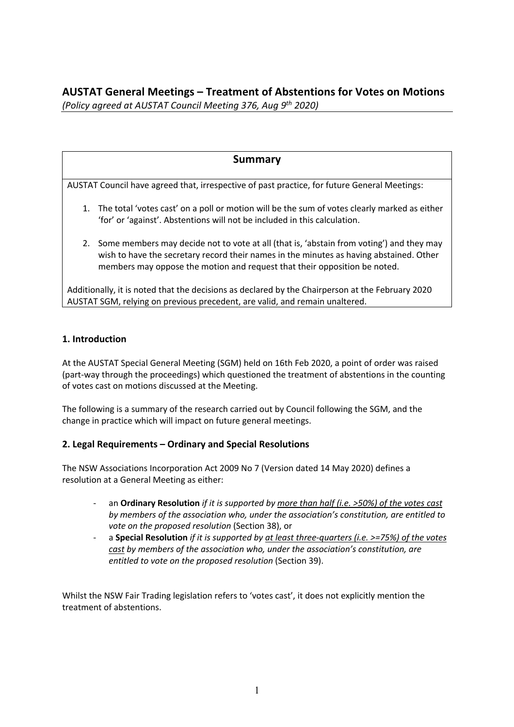# **AUSTAT General Meetings – Treatment of Abstentions for Votes on Motions** *(Policy agreed at AUSTAT Council Meeting 376, Aug 9th 2020)*

# **Summary**

AUSTAT Council have agreed that, irrespective of past practice, for future General Meetings:

- 1. The total 'votes cast' on a poll or motion will be the sum of votes clearly marked as either 'for' or 'against'. Abstentions will not be included in this calculation.
- 2. Some members may decide not to vote at all (that is, 'abstain from voting') and they may wish to have the secretary record their names in the minutes as having abstained. Other members may oppose the motion and request that their opposition be noted.

Additionally, it is noted that the decisions as declared by the Chairperson at the February 2020 AUSTAT SGM, relying on previous precedent, are valid, and remain unaltered.

## **1. Introduction**

At the AUSTAT Special General Meeting (SGM) held on 16th Feb 2020, a point of order was raised (part-way through the proceedings) which questioned the treatment of abstentions in the counting of votes cast on motions discussed at the Meeting.

The following is a summary of the research carried out by Council following the SGM, and the change in practice which will impact on future general meetings.

### **2. Legal Requirements – Ordinary and Special Resolutions**

The NSW Associations Incorporation Act 2009 No 7 (Version dated 14 May 2020) defines a resolution at a General Meeting as either:

- an **Ordinary Resolution** *if it is supported by more than half (i.e. >50%) of the votes cast by members of the association who, under the association's constitution, are entitled to vote on the proposed resolution* (Section 38), or
- a **Special Resolution** *if it is supported by at least three-quarters (i.e. >=75%) of the votes cast by members of the association who, under the association's constitution, are entitled to vote on the proposed resolution* (Section 39).

Whilst the NSW Fair Trading legislation refers to 'votes cast', it does not explicitly mention the treatment of abstentions.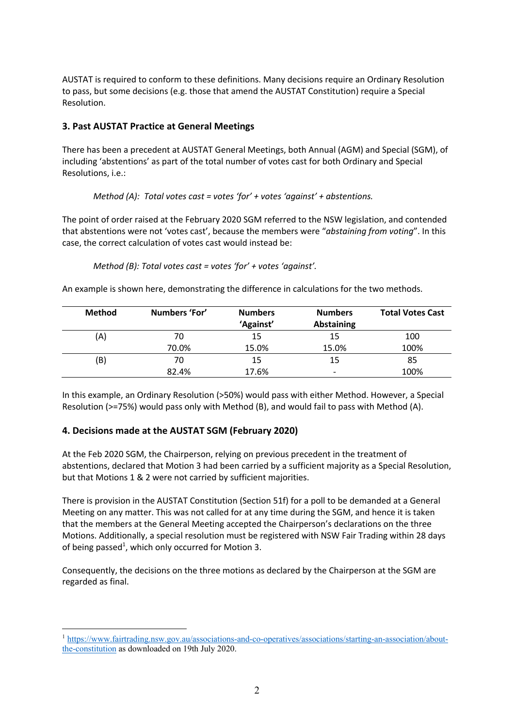AUSTAT is required to conform to these definitions. Many decisions require an Ordinary Resolution to pass, but some decisions (e.g. those that amend the AUSTAT Constitution) require a Special Resolution.

# **3. Past AUSTAT Practice at General Meetings**

There has been a precedent at AUSTAT General Meetings, both Annual (AGM) and Special (SGM), of including 'abstentions' as part of the total number of votes cast for both Ordinary and Special Resolutions, i.e.:

*Method (A): Total votes cast = votes 'for' + votes 'against' + abstentions.*

The point of order raised at the February 2020 SGM referred to the NSW legislation, and contended that abstentions were not 'votes cast', because the members were "*abstaining from voting*". In this case, the correct calculation of votes cast would instead be:

```
Method (B): Total votes cast = votes 'for' + votes 'against'.
```
An example is shown here, demonstrating the difference in calculations for the two methods.

| <b>Method</b> | Numbers 'For' | <b>Numbers</b> | <b>Numbers</b>           | <b>Total Votes Cast</b> |
|---------------|---------------|----------------|--------------------------|-------------------------|
|               |               | 'Against'      | <b>Abstaining</b>        |                         |
| (A)           | 70            | 15             | 15                       | 100                     |
|               | 70.0%         | 15.0%          | 15.0%                    | 100%                    |
| (B)           | 70            | 15             | 15                       | 85                      |
|               | 82.4%         | 17.6%          | $\overline{\phantom{a}}$ | 100%                    |

In this example, an Ordinary Resolution (>50%) would pass with either Method. However, a Special Resolution (>=75%) would pass only with Method (B), and would fail to pass with Method (A).

### **4. Decisions made at the AUSTAT SGM (February 2020)**

At the Feb 2020 SGM, the Chairperson, relying on previous precedent in the treatment of abstentions, declared that Motion 3 had been carried by a sufficient majority as a Special Resolution, but that Motions 1 & 2 were not carried by sufficient majorities.

There is provision in the AUSTAT Constitution (Section 51f) for a poll to be demanded at a General Meeting on any matter. This was not called for at any time during the SGM, and hence it is taken that the members at the General Meeting accepted the Chairperson's declarations on the three Motions. Additionally, a special resolution must be registered with NSW Fair Trading within 28 days of being passed<sup>1</sup>, which only occurred for Motion 3.

Consequently, the decisions on the three motions as declared by the Chairperson at the SGM are regarded as final.

<sup>1</sup> https://www.fairtrading.nsw.gov.au/associations-and-co-operatives/associations/starting-an-association/aboutthe-constitution as downloaded on 19th July 2020.